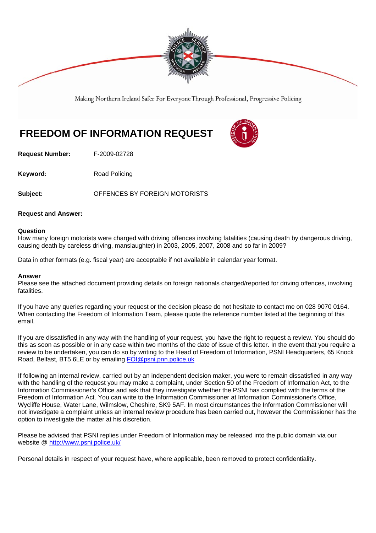

Making Northern Ireland Safer For Everyone Through Professional, Progressive Policing

## **FREEDOM OF INFORMATION REQUEST**

**Request Number:** F-2009-02728

**Keyword:** Road Policing

**Subject:** OFFENCES BY FOREIGN MOTORISTS

## **Request and Answer:**

## **Question**

How many foreign motorists were charged with driving offences involving fatalities (causing death by dangerous driving, causing death by careless driving, manslaughter) in 2003, 2005, 2007, 2008 and so far in 2009?

Data in other formats (e.g. fiscal year) are acceptable if not available in calendar year format.

## **Answer**

Please see the attached document providing details on foreign nationals charged/reported for driving offences, involving fatalities.

If you have any queries regarding your request or the decision please do not hesitate to contact me on 028 9070 0164. When contacting the Freedom of Information Team, please quote the reference number listed at the beginning of this email.

If you are dissatisfied in any way with the handling of your request, you have the right to request a review. You should do this as soon as possible or in any case within two months of the date of issue of this letter. In the event that you require a review to be undertaken, you can do so by writing to the Head of Freedom of Information, PSNI Headquarters, 65 Knock Road, Belfast, BT5 6LE or by emailing FOI@psni.pnn.police.uk

If following an internal review, carried out by an independent decision maker, you were to remain dissatisfied in any way with the handling of the request you may make a complaint, under Section 50 of the Freedom of Information Act, to the Information Commissioner's Office and ask that they investigate whether the PSNI has complied with the terms of the Freedom of Information Act. You can write to the Information Commissioner at Information Commissioner's Office, Wycliffe House, Water Lane, Wilmslow, Cheshire, SK9 5AF. In most circumstances the Information Commissioner will not investigate a complaint unless an internal review procedure has been carried out, however the Commissioner has the option to investigate the matter at his discretion.

Please be advised that PSNI replies under Freedom of Information may be released into the public domain via our website @ http://www.psni.police.uk/

Personal details in respect of your request have, where applicable, been removed to protect confidentiality.